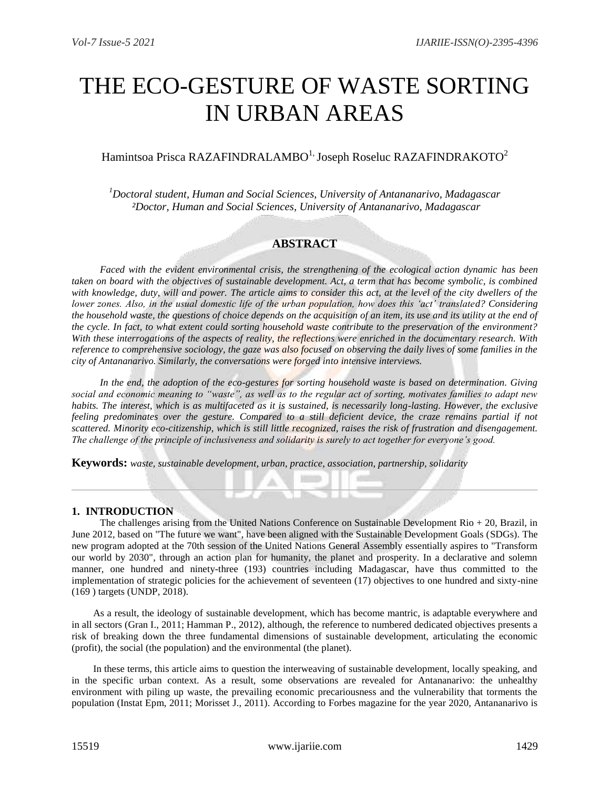# THE ECO-GESTURE OF WASTE SORTING IN URBAN AREAS

# Hamintsoa Prisca RAZAFINDRALAMBO<sup>1,</sup> Joseph Roseluc RAZAFINDRAKOTO<sup>2</sup>

*<sup>1</sup>Doctoral student, Human and Social Sciences, University of Antananarivo, Madagascar ²Doctor, Human and Social Sciences, University of Antananarivo, Madagascar*

## **ABSTRACT**

*Faced with the evident environmental crisis, the strengthening of the ecological action dynamic has been taken on board with the objectives of sustainable development. Act, a term that has become symbolic, is combined*  with knowledge, duty, will and power. The article aims to consider this act, at the level of the city dwellers of the *lower zones. Also, in the usual domestic life of the urban population, how does this 'act' translated? Considering the household waste, the questions of choice depends on the acquisition of an item, its use and its utility at the end of the cycle. In fact, to what extent could sorting household waste contribute to the preservation of the environment? With these interrogations of the aspects of reality, the reflections were enriched in the documentary research. With reference to comprehensive sociology, the gaze was also focused on observing the daily lives of some families in the city of Antananarivo. Similarly, the conversations were forged into intensive interviews.* 

*In the end, the adoption of the eco-gestures for sorting household waste is based on determination. Giving social and economic meaning to "waste", as well as to the regular act of sorting, motivates families to adapt new habits. The interest, which is as multifaceted as it is sustained, is necessarily long-lasting. However, the exclusive feeling predominates over the gesture. Compared to a still deficient device, the craze remains partial if not scattered. Minority eco-citizenship, which is still little recognized, raises the risk of frustration and disengagement. The challenge of the principle of inclusiveness and solidarity is surely to act together for everyone's good.*

**Keywords:** *waste, sustainable development, urban, practice, association, partnership, solidarity*

## **1. INTRODUCTION**

The challenges arising from the United Nations Conference on Sustainable Development Rio + 20, Brazil, in June 2012, based on "The future we want", have been aligned with the Sustainable Development Goals (SDGs). The new program adopted at the 70th session of the United Nations General Assembly essentially aspires to "Transform our world by 2030", through an action plan for humanity, the planet and prosperity. In a declarative and solemn manner, one hundred and ninety-three (193) countries including Madagascar, have thus committed to the implementation of strategic policies for the achievement of seventeen (17) objectives to one hundred and sixty-nine (169 ) targets (UNDP, 2018).

As a result, the ideology of sustainable development, which has become mantric, is adaptable everywhere and in all sectors (Gran I., 2011; Hamman P., 2012), although, the reference to numbered dedicated objectives presents a risk of breaking down the three fundamental dimensions of sustainable development, articulating the economic (profit), the social (the population) and the environmental (the planet).

In these terms, this article aims to question the interweaving of sustainable development, locally speaking, and in the specific urban context. As a result, some observations are revealed for Antananarivo: the unhealthy environment with piling up waste, the prevailing economic precariousness and the vulnerability that torments the population (Instat Epm, 2011; Morisset J., 2011). According to Forbes magazine for the year 2020, Antananarivo is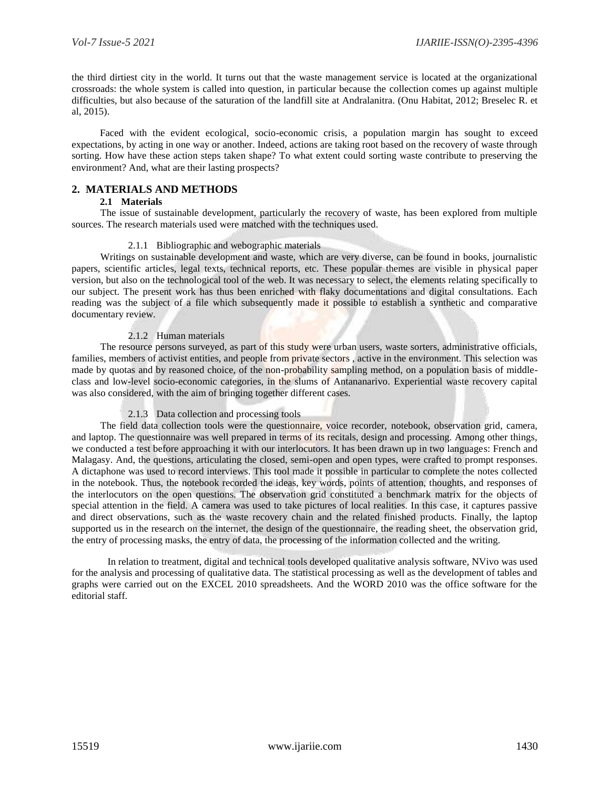the third dirtiest city in the world. It turns out that the waste management service is located at the organizational crossroads: the whole system is called into question, in particular because the collection comes up against multiple difficulties, but also because of the saturation of the landfill site at Andralanitra. (Onu Habitat, 2012; Breselec R. et al, 2015).

Faced with the evident ecological, socio-economic crisis, a population margin has sought to exceed expectations, by acting in one way or another. Indeed, actions are taking root based on the recovery of waste through sorting. How have these action steps taken shape? To what extent could sorting waste contribute to preserving the environment? And, what are their lasting prospects?

## **2. MATERIALS AND METHODS**

## **2.1 Materials**

The issue of sustainable development, particularly the recovery of waste, has been explored from multiple sources. The research materials used were matched with the techniques used.

## 2.1.1 Bibliographic and webographic materials

Writings on sustainable development and waste, which are very diverse, can be found in books, journalistic papers, scientific articles, legal texts, technical reports, etc. These popular themes are visible in physical paper version, but also on the technological tool of the web. It was necessary to select, the elements relating specifically to our subject. The present work has thus been enriched with flaky documentations and digital consultations. Each reading was the subject of a file which subsequently made it possible to establish a synthetic and comparative documentary review.

## 2.1.2 Human materials

The resource persons surveyed, as part of this study were urban users, waste sorters, administrative officials, families, members of activist entities, and people from private sectors, active in the environment. This selection was made by quotas and by reasoned choice, of the non-probability sampling method, on a population basis of middleclass and low-level socio-economic categories, in the slums of Antananarivo. Experiential waste recovery capital was also considered, with the aim of bringing together different cases.

#### 2.1.3 Data collection and processing tools

The field data collection tools were the questionnaire, voice recorder, notebook, observation grid, camera, and laptop. The questionnaire was well prepared in terms of its recitals, design and processing. Among other things, we conducted a test before approaching it with our interlocutors. It has been drawn up in two languages: French and Malagasy. And, the questions, articulating the closed, semi-open and open types, were crafted to prompt responses. A dictaphone was used to record interviews. This tool made it possible in particular to complete the notes collected in the notebook. Thus, the notebook recorded the ideas, key words, points of attention, thoughts, and responses of the interlocutors on the open questions. The observation grid constituted a benchmark matrix for the objects of special attention in the field. A camera was used to take pictures of local realities. In this case, it captures passive and direct observations, such as the waste recovery chain and the related finished products. Finally, the laptop supported us in the research on the internet, the design of the questionnaire, the reading sheet, the observation grid, the entry of processing masks, the entry of data, the processing of the information collected and the writing.

In relation to treatment, digital and technical tools developed qualitative analysis software, NVivo was used for the analysis and processing of qualitative data. The statistical processing as well as the development of tables and graphs were carried out on the EXCEL 2010 spreadsheets. And the WORD 2010 was the office software for the editorial staff.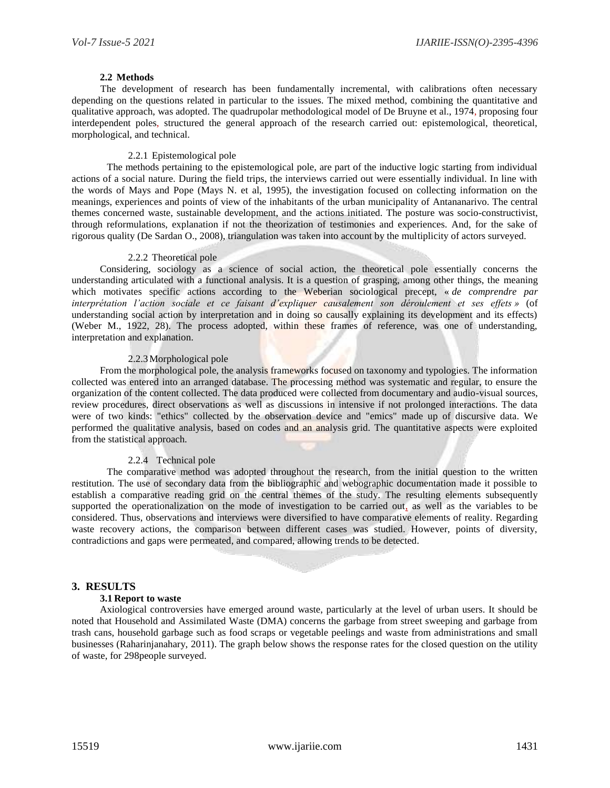#### **2.2 Methods**

The development of research has been fundamentally incremental, with calibrations often necessary depending on the questions related in particular to the issues. The mixed method, combining the quantitative and qualitative approach, was adopted. The quadrupolar methodological model of De Bruyne et al., 1974, proposing four interdependent poles, structured the general approach of the research carried out: epistemological, theoretical, morphological, and technical.

#### 2.2.1 Epistemological pole

The methods pertaining to the epistemological pole, are part of the inductive logic starting from individual actions of a social nature. During the field trips, the interviews carried out were essentially individual. In line with the words of Mays and Pope (Mays N. et al, 1995), the investigation focused on collecting information on the meanings, experiences and points of view of the inhabitants of the urban municipality of Antananarivo. The central themes concerned waste, sustainable development, and the actions initiated. The posture was socio-constructivist, through reformulations, explanation if not the theorization of testimonies and experiences. And, for the sake of rigorous quality (De Sardan O., 2008), triangulation was taken into account by the multiplicity of actors surveyed.

#### 2.2.2 Theoretical pole

Considering, sociology as a science of social action, the theoretical pole essentially concerns the understanding articulated with a functional analysis. It is a question of grasping, among other things, the meaning which motivates specific actions according to the Weberian sociological precept, « *de comprendre par interprétation l'action sociale et ce faisant d'expliquer causalement son déroulement et ses effets »* (of understanding social action by interpretation and in doing so causally explaining its development and its effects) (Weber M., 1922, 28). The process adopted, within these frames of reference, was one of understanding, interpretation and explanation.

#### 2.2.3Morphological pole

From the morphological pole, the analysis frameworks focused on taxonomy and typologies. The information collected was entered into an arranged database. The processing method was systematic and regular, to ensure the organization of the content collected. The data produced were collected from documentary and audio-visual sources, review procedures, direct observations as well as discussions in intensive if not prolonged interactions. The data were of two kinds: "ethics" collected by the observation device and "emics" made up of discursive data. We performed the qualitative analysis, based on codes and an analysis grid. The quantitative aspects were exploited from the statistical approach.

## 2.2.4 Technical pole

The comparative method was adopted throughout the research, from the initial question to the written restitution. The use of secondary data from the bibliographic and webographic documentation made it possible to establish a comparative reading grid on the central themes of the study. The resulting elements subsequently supported the operationalization on the mode of investigation to be carried out, as well as the variables to be considered. Thus, observations and interviews were diversified to have comparative elements of reality. Regarding waste recovery actions, the comparison between different cases was studied. However, points of diversity, contradictions and gaps were permeated, and compared, allowing trends to be detected.

## **3. RESULTS**

#### **3.1 Report to waste**

Axiological controversies have emerged around waste, particularly at the level of urban users. It should be noted that Household and Assimilated Waste (DMA) concerns the garbage from street sweeping and garbage from trash cans, household garbage such as food scraps or vegetable peelings and waste from administrations and small businesses (Raharinjanahary, 2011). The graph below shows the response rates for the closed question on the utility of waste, for 298people surveyed.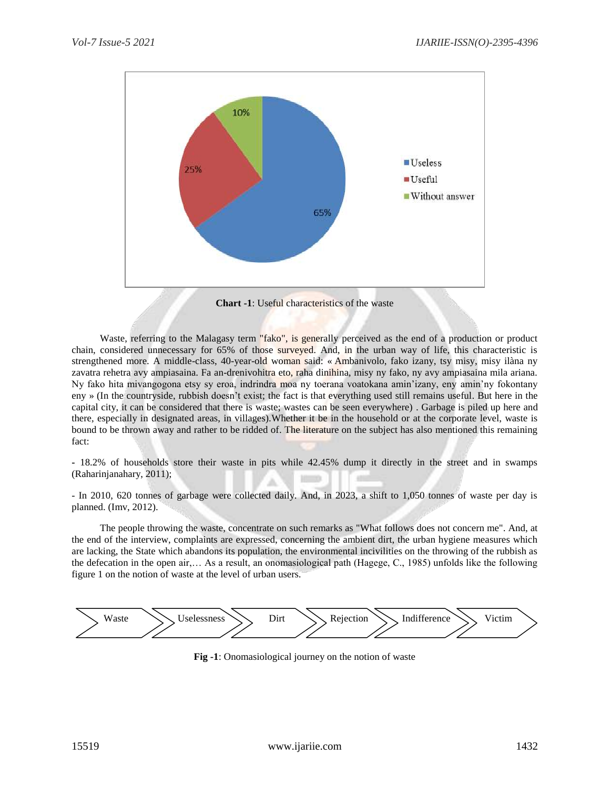

Waste, referring to the Malagasy term "fako", is generally perceived as the end of a production or product chain, considered unnecessary for 65% of those surveyed. And, in the urban way of life, this characteristic is strengthened more. A middle-class, 40-year-old woman said: « Ambanivolo, fako izany, tsy misy, misy ilàna ny zavatra rehetra avy ampiasaina. Fa an-drenivohitra eto, raha dinihina, misy ny fako, ny avy ampiasaina mila ariana. Ny fako hita mivangogona etsy sy eroa, indrindra moa ny toerana voatokana amin'izany, eny amin'ny fokontany eny » (In the countryside, rubbish doesn't exist; the fact is that everything used still remains useful. But here in the capital city, it can be considered that there is waste; wastes can be seen everywhere) . Garbage is piled up here and there, especially in designated areas, in villages).Whether it be in the household or at the corporate level, waste is bound to be thrown away and rather to be ridded of. The literature on the subject has also mentioned this remaining fact:

**-** 18.2% of households store their waste in pits while 42.45% dump it directly in the street and in swamps (Raharinjanahary, 2011);

- In 2010, 620 tonnes of garbage were collected daily. And, in 2023, a shift to 1,050 tonnes of waste per day is planned. (Imv, 2012).

The people throwing the waste, concentrate on such remarks as "What follows does not concern me". And, at the end of the interview, complaints are expressed, concerning the ambient dirt, the urban hygiene measures which are lacking, the State which abandons its population, the environmental incivilities on the throwing of the rubbish as the defecation in the open air,… As a result, an onomasiological path (Hagege, C., 1985) unfolds like the following figure 1 on the notion of waste at the level of urban users.



**Fig -1**: Onomasiological journey on the notion of waste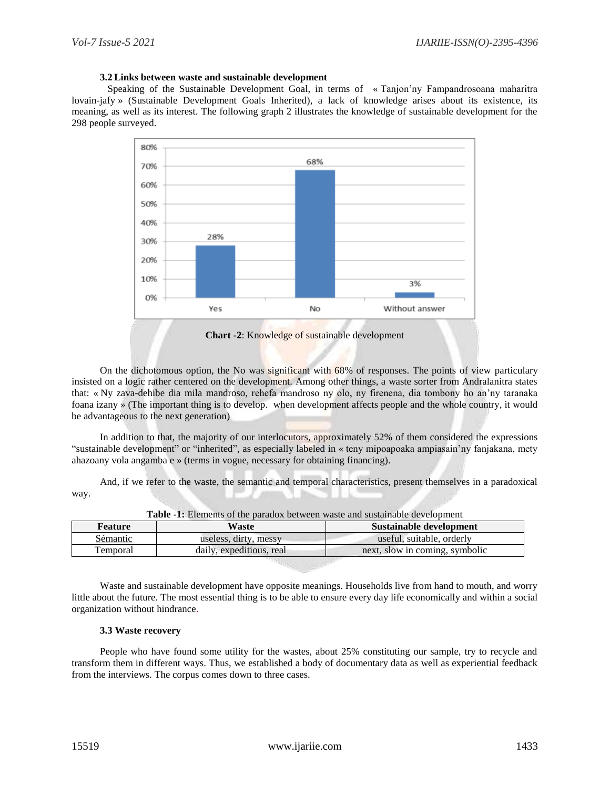### **3.2 Links between waste and sustainable development**

Speaking of the Sustainable Development Goal, in terms of « Tanjon'ny Fampandrosoana maharitra lovain-jafy » (Sustainable Development Goals Inherited), a lack of knowledge arises about its existence, its meaning, as well as its interest. The following graph 2 illustrates the knowledge of sustainable development for the 298 people surveyed.



**Chart -2**: Knowledge of sustainable development

On the dichotomous option, the No was significant with 68% of responses. The points of view particulary insisted on a logic rather centered on the development. Among other things, a waste sorter from Andralanitra states that: « Ny zava-dehibe dia mila mandroso, rehefa mandroso ny olo, ny firenena, dia tombony ho an'ny taranaka foana izany » (The important thing is to develop. when development affects people and the whole country, it would be advantageous to the next generation)

In addition to that, the majority of our interlocutors, approximately 52% of them considered the expressions "sustainable development" or "inherited", as especially labeled in « teny mipoapoaka ampiasain'ny fanjakana, mety ahazoany vola angamba e » (terms in vogue, necessary for obtaining financing).

And, if we refer to the waste, the semantic and temporal characteristics, present themselves in a paradoxical way.

| Feature  | Waste                    | Sustainable development        |
|----------|--------------------------|--------------------------------|
| Sémantic | useless, dirty, messy    | useful, suitable, orderly      |
| Temporal | daily, expeditious, real | next, slow in coming, symbolic |

**Table -1:** Elements of the paradox between waste and sustainable development

Waste and sustainable development have opposite meanings. Households live from hand to mouth, and worry little about the future. The most essential thing is to be able to ensure every day life economically and within a social organization without hindrance.

#### **3.3 Waste recovery**

People who have found some utility for the wastes, about 25% constituting our sample, try to recycle and transform them in different ways. Thus, we established a body of documentary data as well as experiential feedback from the interviews. The corpus comes down to three cases.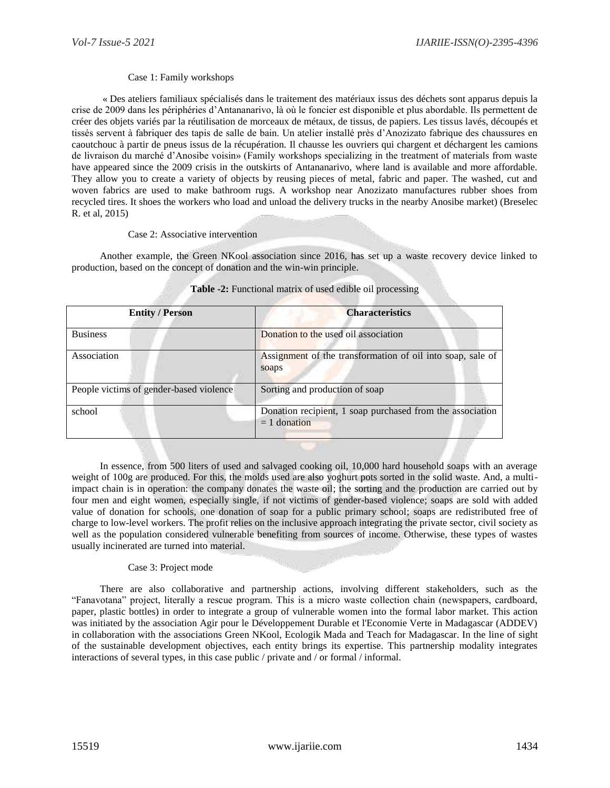## Case 1: Family workshops

« Des ateliers familiaux spécialisés dans le traitement des matériaux issus des déchets sont apparus depuis la crise de 2009 dans les périphéries d'Antananarivo, là où le foncier est disponible et plus abordable. Ils permettent de créer des objets variés par la réutilisation de morceaux de métaux, de tissus, de papiers. Les tissus lavés, découpés et tissés servent à fabriquer des tapis de salle de bain. Un atelier installé près d'Anozizato fabrique des chaussures en caoutchouc à partir de pneus issus de la récupération. Il chausse les ouvriers qui chargent et déchargent les camions de livraison du marché d'Anosibe voisin» (Family workshops specializing in the treatment of materials from waste have appeared since the 2009 crisis in the outskirts of Antananarivo, where land is available and more affordable. They allow you to create a variety of objects by reusing pieces of metal, fabric and paper. The washed, cut and woven fabrics are used to make bathroom rugs. A workshop near Anozizato manufactures rubber shoes from recycled tires. It shoes the workers who load and unload the delivery trucks in the nearby Anosibe market) (Breselec R. et al, 2015)

#### Case 2: Associative intervention

Another example, the Green NKool association since 2016, has set up a waste recovery device linked to production, based on the concept of donation and the win-win principle.

| <b>Entity / Person</b>                  | <b>Characteristics</b>                                                      |
|-----------------------------------------|-----------------------------------------------------------------------------|
| <b>Business</b>                         | Donation to the used oil association                                        |
| Association                             | Assignment of the transformation of oil into soap, sale of<br>soaps         |
| People victims of gender-based violence | Sorting and production of soap                                              |
| school                                  | Donation recipient, 1 soap purchased from the association<br>$= 1$ donation |

## **Table -2:** Functional matrix of used edible oil processing

In essence, from 500 liters of used and salvaged cooking oil, 10,000 hard household soaps with an average weight of 100g are produced. For this, the molds used are also yoghurt pots sorted in the solid waste. And, a multiimpact chain is in operation: the company donates the waste oil; the sorting and the production are carried out by four men and eight women, especially single, if not victims of gender-based violence; soaps are sold with added value of donation for schools, one donation of soap for a public primary school; soaps are redistributed free of charge to low-level workers. The profit relies on the inclusive approach integrating the private sector, civil society as well as the population considered vulnerable benefiting from sources of income. Otherwise, these types of wastes usually incinerated are turned into material.

## Case 3: Project mode

There are also collaborative and partnership actions, involving different stakeholders, such as the "Fanavotana" project, literally a rescue program. This is a micro waste collection chain (newspapers, cardboard, paper, plastic bottles) in order to integrate a group of vulnerable women into the formal labor market. This action was initiated by the association Agir pour le Développement Durable et l'Economie Verte in Madagascar (ADDEV) in collaboration with the associations Green NKool, Ecologik Mada and Teach for Madagascar. In the line of sight of the sustainable development objectives, each entity brings its expertise. This partnership modality integrates interactions of several types, in this case public / private and / or formal / informal.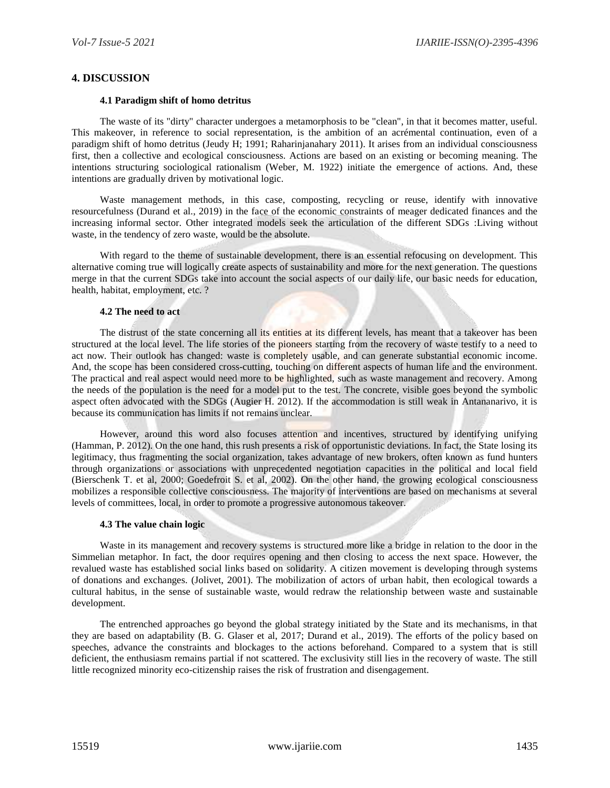## **4. DISCUSSION**

#### **4.1 Paradigm shift of homo detritus**

The waste of its "dirty" character undergoes a metamorphosis to be "clean", in that it becomes matter, useful. This makeover, in reference to social representation, is the ambition of an acrémental continuation, even of a paradigm shift of homo detritus (Jeudy H; 1991; Raharinjanahary 2011). It arises from an individual consciousness first, then a collective and ecological consciousness. Actions are based on an existing or becoming meaning. The intentions structuring sociological rationalism (Weber, M. 1922) initiate the emergence of actions. And, these intentions are gradually driven by motivational logic.

Waste management methods, in this case, composting, recycling or reuse, identify with innovative resourcefulness (Durand et al., 2019) in the face of the economic constraints of meager dedicated finances and the increasing informal sector. Other integrated models seek the articulation of the different SDGs :Living without waste, in the tendency of zero waste, would be the absolute.

With regard to the theme of sustainable development, there is an essential refocusing on development. This alternative coming true will logically create aspects of sustainability and more for the next generation. The questions merge in that the current SDGs take into account the social aspects of our daily life, our basic needs for education, health, habitat, employment, etc. ?

## **4.2 The need to act**

The distrust of the state concerning all its entities at its different levels, has meant that a takeover has been structured at the local level. The life stories of the pioneers starting from the recovery of waste testify to a need to act now. Their outlook has changed: waste is completely usable, and can generate substantial economic income. And, the scope has been considered cross-cutting, touching on different aspects of human life and the environment. The practical and real aspect would need more to be highlighted, such as waste management and recovery. Among the needs of the population is the need for a model put to the test. The concrete, visible goes beyond the symbolic aspect often advocated with the SDGs (Augier H. 2012). If the accommodation is still weak in Antananarivo, it is because its communication has limits if not remains unclear.

However, around this word also focuses attention and incentives, structured by identifying unifying (Hamman, P. 2012). On the one hand, this rush presents a risk of opportunistic deviations. In fact, the State losing its legitimacy, thus fragmenting the social organization, takes advantage of new brokers, often known as fund hunters through organizations or associations with unprecedented negotiation capacities in the political and local field (Bierschenk T. et al, 2000; Goedefroit S. et al, 2002). On the other hand, the growing ecological consciousness mobilizes a responsible collective consciousness. The majority of interventions are based on mechanisms at several levels of committees, local, in order to promote a progressive autonomous takeover.

#### **4.3 The value chain logic**

Waste in its management and recovery systems is structured more like a bridge in relation to the door in the Simmelian metaphor. In fact, the door requires opening and then closing to access the next space. However, the revalued waste has established social links based on solidarity. A citizen movement is developing through systems of donations and exchanges. (Jolivet, 2001). The mobilization of actors of urban habit, then ecological towards a cultural habitus, in the sense of sustainable waste, would redraw the relationship between waste and sustainable development.

The entrenched approaches go beyond the global strategy initiated by the State and its mechanisms, in that they are based on adaptability (B. G. Glaser et al, 2017; Durand et al., 2019). The efforts of the policy based on speeches, advance the constraints and blockages to the actions beforehand. Compared to a system that is still deficient, the enthusiasm remains partial if not scattered. The exclusivity still lies in the recovery of waste. The still little recognized minority eco-citizenship raises the risk of frustration and disengagement.